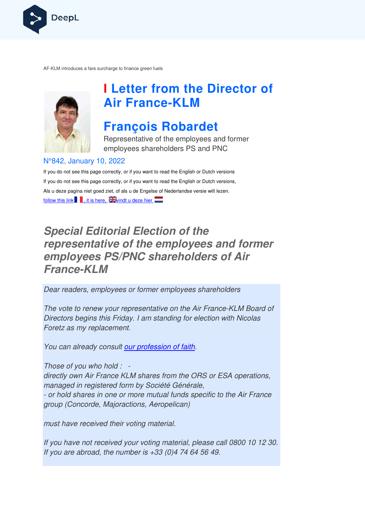

AF-KLM introduces a fare surcharge to finance green fuels KLM



# **I Letter from the Director of Air France France-KLM**

## **François Robardet**

Representative of the employees and former employees shareholders PS and PNC

#### N°842, January 10, 2022

If you do not see this page correctly, or if you want to read the English or Dutch versions If you do not see this page correctly, or if you want to read the English or Dutch versions, Als u deze pagina niet goed ziet, of als u de Engelse of Nederlandse v versie wilt lezen, follow this link  $\blacksquare$ , it is here,  $\frac{1}{2}$  windt u deze hier

## **Special Editorial Election of the representative of the employees and former employees PS/PNC shareholders of Air France-KLM**

Dear readers, employees or former employees shareholders

The vote to renew your representative on the Air France-KLM Board of Directors begins this Friday. I am standing for election with Nicolas Foretz as my replacement.

You can already consult our profession of faith.

Those of you who hold : -

directly own Air France KLM shares from the ORS or ESA operations, managed in registered form by Société Générale, - or hold shares in one or more mutual funds specific to the Air France group (Concorde, Majoractions, Aeropelican) epresentative on the Air France-KLM<br>|ay. I am standing for election with Nic<br>|t.<br>|cour profession of faith<br>|-<br>|CM shares from the ORS or ESA ope<br>|rm by Société Générale,<br>|conternal funds specific to the Ail<br>|ctions, Aerope

must have received their voting material.

If you have not received your voting material, please call 0800 10 12 30. If you are abroad, the number is  $+33$  (0)4 74 64 56 49.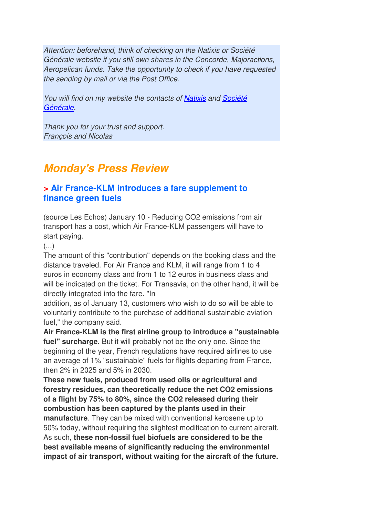Attention: beforehand, think of checking on the Natixis or Société Générale website if you still own shares in the Concorde, Majoractions, Aeropelican funds. Take the opportunity to check if you have requested the sending by mail or via the Post Office.

You will find on my website the contacts of Natixis and Société Générale.

Thank you for your trust and support. François and Nicolas

## **Monday's Press Review**

#### **> Air France-KLM introduces a fare supplement to finance green fuels**

(source Les Echos) January 10 - Reducing CO2 emissions from air transport has a cost, which Air France-KLM passengers will have to start paying.

 $\left( \ldots \right)$ 

The amount of this "contribution" depends on the booking class and the distance traveled. For Air France and KLM, it will range from 1 to 4 euros in economy class and from 1 to 12 euros in business class and will be indicated on the ticket. For Transavia, on the other hand, it will be directly integrated into the fare. "In

addition, as of January 13, customers who wish to do so will be able to voluntarily contribute to the purchase of additional sustainable aviation fuel," the company said.

**Air France-KLM is the first airline group to introduce a "sustainable fuel" surcharge.** But it will probably not be the only one. Since the beginning of the year, French regulations have required airlines to use an average of 1% "sustainable" fuels for flights departing from France, then 2% in 2025 and 5% in 2030.

**These new fuels, produced from used oils or agricultural and forestry residues, can theoretically reduce the net CO2 emissions of a flight by 75% to 80%, since the CO2 released during their combustion has been captured by the plants used in their manufacture**. They can be mixed with conventional kerosene up to 50% today, without requiring the slightest modification to current aircraft. As such, **these non-fossil fuel biofuels are considered to be the best available means of significantly reducing the environmental impact of air transport, without waiting for the aircraft of the future.**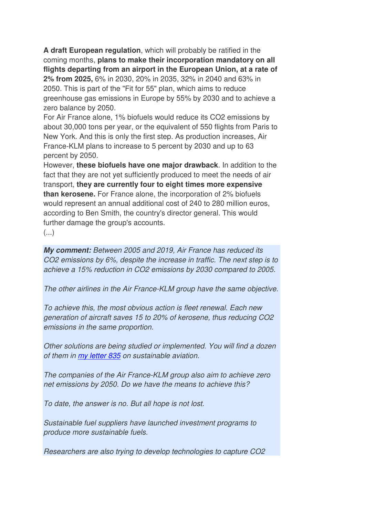**A draft European regulation**, which will probably be ratified in the coming months, **plans to make their incorporation mandatory on all flights departing from an airport in the European Union, at a rate of 2% from 2025,** 6% in 2030, 20% in 2035, 32% in 2040 and 63% in 2050. This is part of the "Fit for 55" plan, which aims to reduce greenhouse gas emissions in Europe by 55% by 2030 and to achieve a zero balance by 2050.

For Air France alone, 1% biofuels would reduce its CO2 emissions by about 30,000 tons per year, or the equivalent of 550 flights from Paris to New York. And this is only the first step. As production increases, Air France-KLM plans to increase to 5 percent by 2030 and up to 63 percent by 2050.

However, **these biofuels have one major drawback**. In addition to the fact that they are not yet sufficiently produced to meet the needs of air transport, **they are currently four to eight times more expensive than kerosene.** For France alone, the incorporation of 2% biofuels would represent an annual additional cost of 240 to 280 million euros, according to Ben Smith, the country's director general. This would further damage the group's accounts.

(...)

**My comment:** Between 2005 and 2019, Air France has reduced its CO2 emissions by 6%, despite the increase in traffic. The next step is to achieve a 15% reduction in CO2 emissions by 2030 compared to 2005.

The other airlines in the Air France-KLM group have the same objective.

To achieve this, the most obvious action is fleet renewal. Each new generation of aircraft saves 15 to 20% of kerosene, thus reducing CO2 emissions in the same proportion.

Other solutions are being studied or implemented. You will find a dozen of them in my letter 835 on sustainable aviation.

The companies of the Air France-KLM group also aim to achieve zero net emissions by 2050. Do we have the means to achieve this?

To date, the answer is no. But all hope is not lost.

Sustainable fuel suppliers have launched investment programs to produce more sustainable fuels.

Researchers are also trying to develop technologies to capture CO2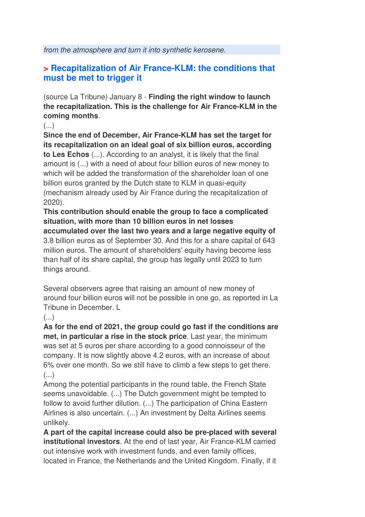from the atmosphere and turn it into synthetic kerosene.

#### **> Recapitalization of Air France-KLM: the conditions that must be met to trigger it**

(source La Tribune) January 8 - **Finding the right window to launch the recapitalization. This is the challenge for Air France-KLM in the coming months**.

 $(\ldots)$ 

**Since the end of December, Air France-KLM has set the target for its recapitalization on an ideal goal of six billion euros, according to Les Echos** (...). According to an analyst, it is likely that the final amount is (...) with a need of about four billion euros of new money to which will be added the transformation of the shareholder loan of one billion euros granted by the Dutch state to KLM in quasi-equity (mechanism already used by Air France during the recapitalization of 2020).

**This contribution should enable the group to face a complicated situation, with more than 10 billion euros in net losses accumulated over the last two years and a large negative equity of**  3.8 billion euros as of September 30. And this for a share capital of 643 million euros. The amount of shareholders' equity having become less than half of its share capital, the group has legally until 2023 to turn things around.

Several observers agree that raising an amount of new money of around four billion euros will not be possible in one go, as reported in La Tribune in December. L

(...)

**As for the end of 2021, the group could go fast if the conditions are met, in particular a rise in the stock price**. Last year, the minimum was set at 5 euros per share according to a good connoisseur of the company. It is now slightly above 4.2 euros, with an increase of about 6% over one month. So we still have to climb a few steps to get there.  $(\ldots)$ 

Among the potential participants in the round table, the French State seems unavoidable. (...) The Dutch government might be tempted to follow to avoid further dilution. (...) The participation of China Eastern Airlines is also uncertain. (...) An investment by Delta Airlines seems unlikely.

**A part of the capital increase could also be pre-placed with several institutional investors**. At the end of last year, Air France-KLM carried out intensive work with investment funds, and even family offices, located in France, the Netherlands and the United Kingdom. Finally, if it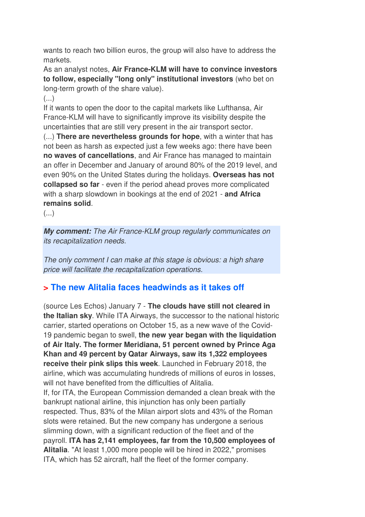wants to reach two billion euros, the group will also have to address the markets.

As an analyst notes, **Air France-KLM will have to convince investors to follow, especially "long only" institutional investors** (who bet on long-term growth of the share value).

 $\left( \ldots \right)$ 

If it wants to open the door to the capital markets like Lufthansa, Air France-KLM will have to significantly improve its visibility despite the uncertainties that are still very present in the air transport sector.

(...) **There are nevertheless grounds for hope**, with a winter that has not been as harsh as expected just a few weeks ago: there have been **no waves of cancellations**, and Air France has managed to maintain an offer in December and January of around 80% of the 2019 level, and even 90% on the United States during the holidays. **Overseas has not collapsed so far** - even if the period ahead proves more complicated with a sharp slowdown in bookings at the end of 2021 - **and Africa remains solid**.

(...)

**My comment:** The Air France-KLM group regularly communicates on its recapitalization needs.

The only comment I can make at this stage is obvious: a high share price will facilitate the recapitalization operations.

### **> The new Alitalia faces headwinds as it takes off**

(source Les Echos) January 7 - **The clouds have still not cleared in the Italian sky**. While ITA Airways, the successor to the national historic carrier, started operations on October 15, as a new wave of the Covid-19 pandemic began to swell, **the new year began with the liquidation of Air Italy. The former Meridiana, 51 percent owned by Prince Aga Khan and 49 percent by Qatar Airways, saw its 1,322 employees receive their pink slips this week**. Launched in February 2018, the airline, which was accumulating hundreds of millions of euros in losses, will not have benefited from the difficulties of Alitalia.

If, for ITA, the European Commission demanded a clean break with the bankrupt national airline, this injunction has only been partially respected. Thus, 83% of the Milan airport slots and 43% of the Roman slots were retained. But the new company has undergone a serious slimming down, with a significant reduction of the fleet and of the payroll. **ITA has 2,141 employees, far from the 10,500 employees of Alitalia**. "At least 1,000 more people will be hired in 2022," promises ITA, which has 52 aircraft, half the fleet of the former company.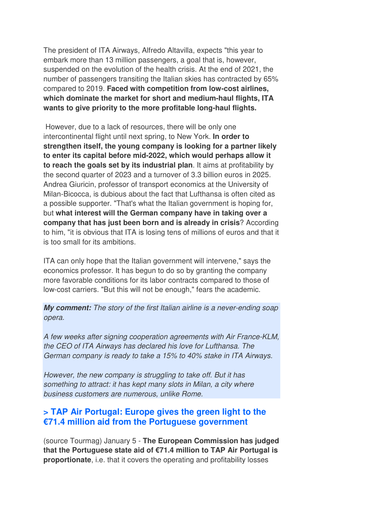The president of ITA Airways, Alfredo Altavilla, expects "this year to embark more than 13 million passengers, a goal that is, however, suspended on the evolution of the health crisis. At the end of 2021, the number of passengers transiting the Italian skies has contracted by 65% compared to 2019. **Faced with competition from low-cost airlines, which dominate the market for short and medium-haul flights, ITA wants to give priority to the more profitable long-haul flights.** 

 However, due to a lack of resources, there will be only one intercontinental flight until next spring, to New York. **In order to strengthen itself, the young company is looking for a partner likely to enter its capital before mid-2022, which would perhaps allow it to reach the goals set by its industrial plan**. It aims at profitability by the second quarter of 2023 and a turnover of 3.3 billion euros in 2025. Andrea Giuricin, professor of transport economics at the University of Milan-Bicocca, is dubious about the fact that Lufthansa is often cited as a possible supporter. "That's what the Italian government is hoping for, but **what interest will the German company have in taking over a company that has just been born and is already in crisis**? According to him, "it is obvious that ITA is losing tens of millions of euros and that it is too small for its ambitions.

ITA can only hope that the Italian government will intervene," says the economics professor. It has begun to do so by granting the company more favorable conditions for its labor contracts compared to those of low-cost carriers. "But this will not be enough," fears the academic.

**My comment:** The story of the first Italian airline is a never-ending soap opera.

A few weeks after signing cooperation agreements with Air France-KLM, the CEO of ITA Airways has declared his love for Lufthansa. The German company is ready to take a 15% to 40% stake in ITA Airways.

However, the new company is struggling to take off. But it has something to attract: it has kept many slots in Milan, a city where business customers are numerous, unlike Rome.

#### **> TAP Air Portugal: Europe gives the green light to the €71.4 million aid from the Portuguese government**

(source Tourmag) January 5 - **The European Commission has judged that the Portuguese state aid of €71.4 million to TAP Air Portugal is proportionate**, i.e. that it covers the operating and profitability losses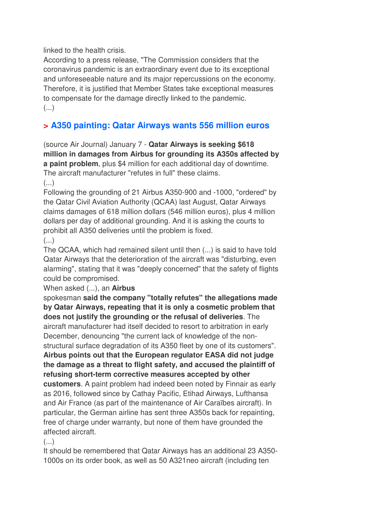linked to the health crisis.

According to a press release, "The Commission considers that the coronavirus pandemic is an extraordinary event due to its exceptional and unforeseeable nature and its major repercussions on the economy. Therefore, it is justified that Member States take exceptional measures to compensate for the damage directly linked to the pandemic.  $($ ...)

## **> A350 painting: Qatar Airways wants 556 million euros**

(source Air Journal) January 7 - **Qatar Airways is seeking \$618 million in damages from Airbus for grounding its A350s affected by a paint problem**, plus \$4 million for each additional day of downtime. The aircraft manufacturer "refutes in full" these claims.  $\left( \ldots \right)$ 

Following the grounding of 21 Airbus A350-900 and -1000, "ordered" by the Qatar Civil Aviation Authority (QCAA) last August, Qatar Airways claims damages of 618 million dollars (546 million euros), plus 4 million dollars per day of additional grounding. And it is asking the courts to prohibit all A350 deliveries until the problem is fixed.

(...)

The QCAA, which had remained silent until then (...) is said to have told Qatar Airways that the deterioration of the aircraft was "disturbing, even alarming", stating that it was "deeply concerned" that the safety of flights could be compromised.

When asked (...), an **Airbus** 

spokesman **said the company "totally refutes" the allegations made by Qatar Airways, repeating that it is only a cosmetic problem that does not justify the grounding or the refusal of deliveries**. The aircraft manufacturer had itself decided to resort to arbitration in early December, denouncing "the current lack of knowledge of the nonstructural surface degradation of its A350 fleet by one of its customers". **Airbus points out that the European regulator EASA did not judge the damage as a threat to flight safety, and accused the plaintiff of refusing short-term corrective measures accepted by other customers**. A paint problem had indeed been noted by Finnair as early as 2016, followed since by Cathay Pacific, Etihad Airways, Lufthansa and Air France (as part of the maintenance of Air Caraïbes aircraft). In particular, the German airline has sent three A350s back for repainting, free of charge under warranty, but none of them have grounded the affected aircraft.

 $(\ldots)$ 

It should be remembered that Qatar Airways has an additional 23 A350- 1000s on its order book, as well as 50 A321neo aircraft (including ten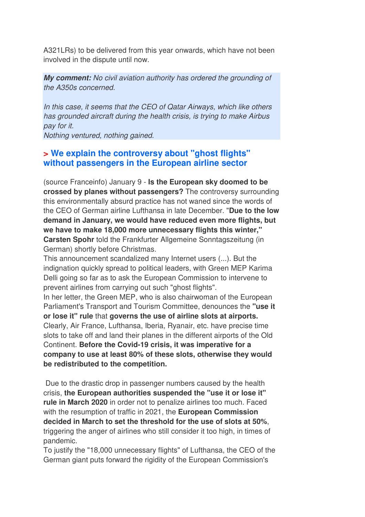A321LRs) to be delivered from this year onwards, which have not been involved in the dispute until now.

**My comment:** No civil aviation authority has ordered the grounding of the A350s concerned.

In this case, it seems that the CEO of Qatar Airways, which like others has grounded aircraft during the health crisis, is trying to make Airbus pay for it.

Nothing ventured, nothing gained.

#### **> We explain the controversy about "ghost flights" without passengers in the European airline sector**

(source Franceinfo) January 9 - **Is the European sky doomed to be crossed by planes without passengers?** The controversy surrounding this environmentally absurd practice has not waned since the words of the CEO of German airline Lufthansa in late December. "**Due to the low demand in January, we would have reduced even more flights, but we have to make 18,000 more unnecessary flights this winter," Carsten Spohr** told the Frankfurter Allgemeine Sonntagszeitung (in German) shortly before Christmas.

This announcement scandalized many Internet users (...). But the indignation quickly spread to political leaders, with Green MEP Karima Delli going so far as to ask the European Commission to intervene to prevent airlines from carrying out such "ghost flights".

In her letter, the Green MEP, who is also chairwoman of the European Parliament's Transport and Tourism Committee, denounces the **"use it or lose it" rule** that **governs the use of airline slots at airports.** Clearly, Air France, Lufthansa, Iberia, Ryanair, etc. have precise time slots to take off and land their planes in the different airports of the Old Continent. **Before the Covid-19 crisis, it was imperative for a company to use at least 80% of these slots, otherwise they would be redistributed to the competition.** 

 Due to the drastic drop in passenger numbers caused by the health crisis, **the European authorities suspended the "use it or lose it" rule in March 2020** in order not to penalize airlines too much. Faced with the resumption of traffic in 2021, the **European Commission decided in March to set the threshold for the use of slots at 50%**, triggering the anger of airlines who still consider it too high, in times of pandemic.

To justify the "18,000 unnecessary flights" of Lufthansa, the CEO of the German giant puts forward the rigidity of the European Commission's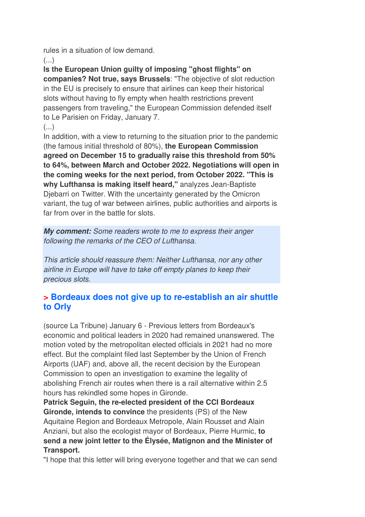rules in a situation of low demand.

 $($ ...)

**Is the European Union guilty of imposing "ghost flights" on companies? Not true, says Brussels**: "The objective of slot reduction in the EU is precisely to ensure that airlines can keep their historical slots without having to fly empty when health restrictions prevent passengers from traveling," the European Commission defended itself to Le Parisien on Friday, January 7.

(...)

In addition, with a view to returning to the situation prior to the pandemic (the famous initial threshold of 80%), **the European Commission agreed on December 15 to gradually raise this threshold from 50% to 64%, between March and October 2022. Negotiations will open in the coming weeks for the next period, from October 2022. "This is why Lufthansa is making itself heard,"** analyzes Jean-Baptiste Djebarri on Twitter. With the uncertainty generated by the Omicron variant, the tug of war between airlines, public authorities and airports is far from over in the battle for slots.

**My comment:** Some readers wrote to me to express their anger following the remarks of the CEO of Lufthansa.

This article should reassure them: Neither Lufthansa, nor any other airline in Europe will have to take off empty planes to keep their precious slots.

### **> Bordeaux does not give up to re-establish an air shuttle to Orly**

(source La Tribune) January 6 - Previous letters from Bordeaux's economic and political leaders in 2020 had remained unanswered. The motion voted by the metropolitan elected officials in 2021 had no more effect. But the complaint filed last September by the Union of French Airports (UAF) and, above all, the recent decision by the European Commission to open an investigation to examine the legality of abolishing French air routes when there is a rail alternative within 2.5 hours has rekindled some hopes in Gironde.

**Patrick Seguin, the re-elected president of the CCI Bordeaux Gironde, intends to convince** the presidents (PS) of the New Aquitaine Region and Bordeaux Metropole, Alain Rousset and Alain Anziani, but also the ecologist mayor of Bordeaux, Pierre Hurmic, **to send a new joint letter to the Élysée, Matignon and the Minister of Transport.** 

"I hope that this letter will bring everyone together and that we can send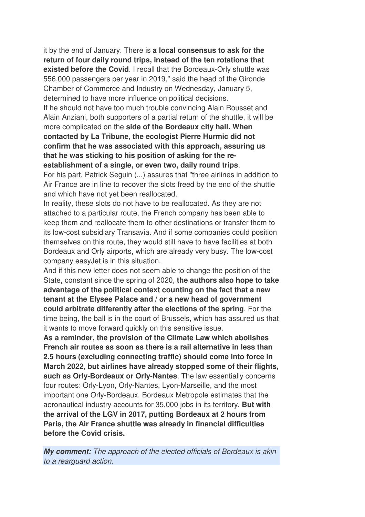it by the end of January. There is **a local consensus to ask for the return of four daily round trips, instead of the ten rotations that existed before the Covid**. I recall that the Bordeaux-Orly shuttle was 556,000 passengers per year in 2019," said the head of the Gironde Chamber of Commerce and Industry on Wednesday, January 5, determined to have more influence on political decisions. If he should not have too much trouble convincing Alain Rousset and Alain Anziani, both supporters of a partial return of the shuttle, it will be more complicated on the **side of the Bordeaux city hall. When contacted by La Tribune, the ecologist Pierre Hurmic did not confirm that he was associated with this approach, assuring us that he was sticking to his position of asking for the reestablishment of a single, or even two, daily round trips**.

For his part, Patrick Seguin (...) assures that "three airlines in addition to Air France are in line to recover the slots freed by the end of the shuttle and which have not yet been reallocated.

In reality, these slots do not have to be reallocated. As they are not attached to a particular route, the French company has been able to keep them and reallocate them to other destinations or transfer them to its low-cost subsidiary Transavia. And if some companies could position themselves on this route, they would still have to have facilities at both Bordeaux and Orly airports, which are already very busy. The low-cost company easyJet is in this situation.

And if this new letter does not seem able to change the position of the State, constant since the spring of 2020, **the authors also hope to take advantage of the political context counting on the fact that a new tenant at the Elysee Palace and / or a new head of government could arbitrate differently after the elections of the spring**. For the time being, the ball is in the court of Brussels, which has assured us that it wants to move forward quickly on this sensitive issue.

**As a reminder, the provision of the Climate Law which abolishes French air routes as soon as there is a rail alternative in less than 2.5 hours (excluding connecting traffic) should come into force in March 2022, but airlines have already stopped some of their flights, such as Orly-Bordeaux or Orly-Nantes**. The law essentially concerns four routes: Orly-Lyon, Orly-Nantes, Lyon-Marseille, and the most important one Orly-Bordeaux. Bordeaux Metropole estimates that the aeronautical industry accounts for 35,000 jobs in its territory. **But with the arrival of the LGV in 2017, putting Bordeaux at 2 hours from Paris, the Air France shuttle was already in financial difficulties before the Covid crisis.**

**My comment:** The approach of the elected officials of Bordeaux is akin to a rearguard action.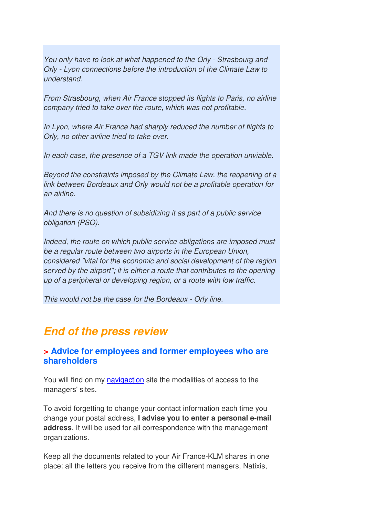You only have to look at what happened to the Orly - Strasbourg and Orly - Lyon connections before the introduction of the Climate Law to understand.

From Strasbourg, when Air France stopped its flights to Paris, no airline company tried to take over the route, which was not profitable.

In Lyon, where Air France had sharply reduced the number of flights to Orly, no other airline tried to take over.

In each case, the presence of a TGV link made the operation unviable.

Beyond the constraints imposed by the Climate Law, the reopening of a link between Bordeaux and Orly would not be a profitable operation for an airline.

And there is no question of subsidizing it as part of a public service obligation (PSO).

Indeed, the route on which public service obligations are imposed must be a regular route between two airports in the European Union, considered "vital for the economic and social development of the region served by the airport"; it is either a route that contributes to the opening up of a peripheral or developing region, or a route with low traffic.

This would not be the case for the Bordeaux - Orly line.

## **End of the press review**

#### **> Advice for employees and former employees who are shareholders**

You will find on my navigaction site the modalities of access to the managers' sites.

To avoid forgetting to change your contact information each time you change your postal address, **I advise you to enter a personal e-mail address**. It will be used for all correspondence with the management organizations.

Keep all the documents related to your Air France-KLM shares in one place: all the letters you receive from the different managers, Natixis,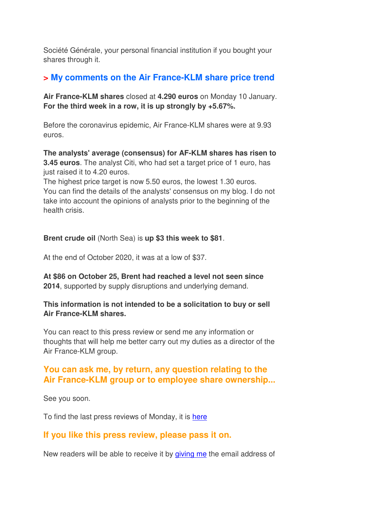Société Générale, your personal financial institution if you bought your shares through it.

#### **> My comments on the Air France-KLM share price trend**

**Air France-KLM shares** closed at **4.290 euros** on Monday 10 January. **For the third week in a row, it is up strongly by +5.67%.** 

Before the coronavirus epidemic, Air France-KLM shares were at 9.93 euros.

**The analysts' average (consensus) for AF-KLM shares has risen to 3.45 euros**. The analyst Citi, who had set a target price of 1 euro, has just raised it to 4.20 euros.

The highest price target is now 5.50 euros, the lowest 1.30 euros. You can find the details of the analysts' consensus on my blog. I do not take into account the opinions of analysts prior to the beginning of the health crisis.

**Brent crude oil** (North Sea) is **up \$3 this week to \$81**.

At the end of October 2020, it was at a low of \$37.

**At \$86 on October 25, Brent had reached a level not seen since 2014**, supported by supply disruptions and underlying demand.

#### **This information is not intended to be a solicitation to buy or sell Air France-KLM shares.**

You can react to this press review or send me any information or thoughts that will help me better carry out my duties as a director of the Air France-KLM group.

#### **You can ask me, by return, any question relating to the Air France-KLM group or to employee share ownership...**

See you soon.

To find the last press reviews of Monday, it is here

#### **If you like this press review, please pass it on.**

New readers will be able to receive it by giving me the email address of